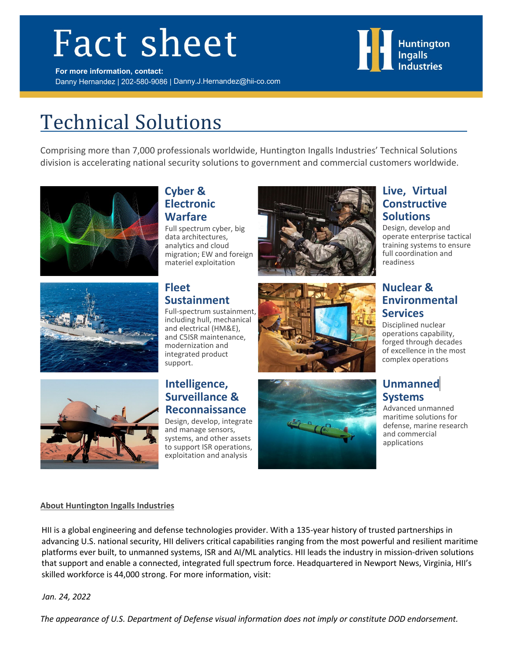# **Fact sheet**



# Technical Solutions

Comprising more than 7,000 professionals worldwide, Huntington Ingalls Industries' Technical Solutions division is accelerating national security solutions to government and commercial customers worldwide.







#### **Cyber & Electronic Warfare**

Full spectrum cyber, big data architectures, analytics and cloud migration; EW and foreign materiel exploitation

# **Fleet Sustainment**

Full-spectrum sustainment, including hull, mechanical and electrical (HM&E), and C5ISR maintenance, modernization and integrated product support.

#### **Intelligence, Surveillance & Reconnaissance**

Design, develop, integrate and manage sensors, systems, and other assets to support ISR operations, exploitation and analysis





### **Live, Virtual Constructive Solutions**

Design, develop and operate enterprise tactical training systems to ensure full coordination and readiness

## **Nuclear & Environmental Services**

Disciplined nuclear operations capability, forged through decades of excellence in the most complex operations

# **Unmanned Systems**

Advanced unmanned maritime solutions for defense, marine research and commercial applications

#### **About Huntington Ingalls Industries**

HII is a global engineering and defense technologies provider. With a 135-year history of trusted partnerships in advancing U.S. national security, HII delivers critical capabilities ranging from the most powerful and resilient maritime platforms ever built, to unmanned systems, ISR and AI/ML analytics. HII leads the industry in mission-driven solutions that support and enable a connected, integrated full spectrum force. Headquartered in Newport News, Virginia, HII's skilled workforce is 44,000 strong. For more information, visit:

 *Jan. 24, 2022*

 *The appearance of U.S. Department of Defense visual information does not imply or constitute DOD endorsement.*